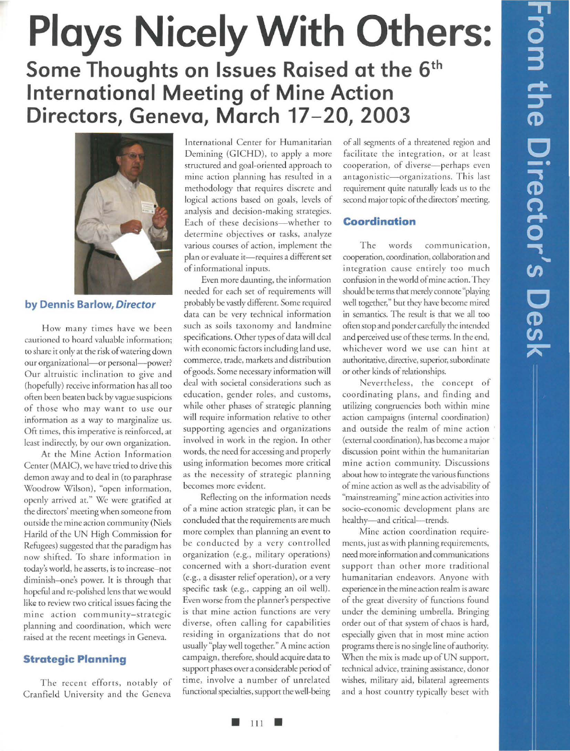# **Plays Nicely With Others:**  Some Thoughts on Issues Raised at the 6<sup>th</sup> **International Meeting of Mine Action Directors, Geneva, March 17-20, 2003**



**by Dennis Barlow,** *Director* 

How many rimes have we been cautioned to hoard valuable information; to share it only at the risk of watering down our organizational-or personal-power? Our alrruisric inclination to give and (hopefully) receive information has all roo often been beaten back by vague suspicions of those who may want to use our information as a way to marginalize us. Oft times, this imperative is reinforced, at least indirectly, by our own organization.

At the Mine Action Information Center (MAIC), we have tried to drive this demon away and to deal in (to paraphrase Woodrow Wilson), "open information, openly arrived at." We were gratified at the directors' meeting when someone from outside the mine action community (Niels Harild of the UN High Commission for Refugees) suggested that the paradigm has now shifted. To share information in today's world, he asserts, is to increase- not diminish-one's power. It is through that hopeful and re-polished lens that we would like to review two critical issues facing the mine action community-strategic planning and coordination, which were raised at the recent meetings in Geneva.

# **Strategic Planning**

The recent efforts, notably of Cranfield University and the Geneva

International Center for Humanitarian Demining (GICHD), to apply a more structured and goal-oriented approach ro mine action planning has resulted in a methodology rhar requires discrete and logical actions based on goals, levels of analysis and decision-making strategies. Each of these decisions-whether to determine objectives or tasks, analyze various courses of action, implemenr the plan or evaluate it-requires a different set of informational inputs.

Even more daunting, the information needed for each set of requirements will probably be vastly different. Some required data can be very technical information such as soils taxonomy and landmine specifications. Other rypes of data will deal with economic factors including land use, commerce, trade, markers and distribution of goods. Some necessary information will deal with societal considerations such as education, gender roles, and customs, while other phases of strategic planning will require information relative to other supporting agencies and organizations involved in work in the region. In other words, the need for accessing and properly using information becomes more critical as the necessity of strategic planning becomes more evident.

Reflecting on the information needs of a mine action strategic plan, it can be concluded that the requiremenrs are much more complex than planning an event to be conducted by a very controlled organization (e.g., military operations) concerned with a short-duration event (e.g., a disaster relief operation), or a very specific task (e.g., capping an oil well). Even worse from the planner's perspective is that mine action functions are very diverse, often calling for capabilities residing in organizations rhar do nor usually "play well together." A mine action campaign, therefore, should acquire data to support phases over a considerable period of time, involve a number of unrelated functional specialties, support the well-being of all segments of a threatened region and facilitate the integration, or at least cooperation, of diverse-perhaps even antagonistic-organizations. This last requirement quire naturally leads us to rhe second major topic of the directors' meeting.

#### **Coordination**

The words communication, cooperation, coordination, collaboration and integration cause entirely roo much confusion in the world of mine action. They should be terms that merely connote "playing well together," bur rhey have become mired in semantics. The result is that we all roo often stop and ponder carefully the intended and perceived use of these terms. In the end, whichever word we use can hint at authoritative, directive, superior, subordinate or other kinds of relationships.

Nevertheless, the concept of coordinating plans, and finding and utilizing congruencies both within mine action campaigns (internal coordination) and outside the realm of mine action (external coordination), has become a major discussion point within the humanitarian mine action community. Discussions about how ro imegrare the various functions of mine acrion as well as the advisability of "mainstreaming" mine action activities into socio-economic development plans are healthy-and critical-trends.

Mine action coordination requirements, just as with planning requirements, need more information and communications support than other more traditional humanitarian endeavors. Anyone with experience in the mineacrion realm is aware of rhe great diversity of functions found under the demining umbrella. Bringing order our of that system of chaos is hard, especially given that in most mine action programs there is no single line of authority. When the mix is made up of UN support, technical advice, training assistance, donor wishes, military aid, bilateral agreements and a host country typically beset wirh